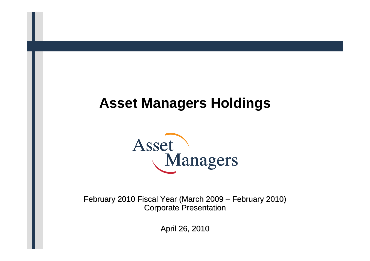# **Asset Managers Holdings**



February 2010 Fiscal Year (March 2009 – February 2010) **Corporate Presentation** 

April 26, 2010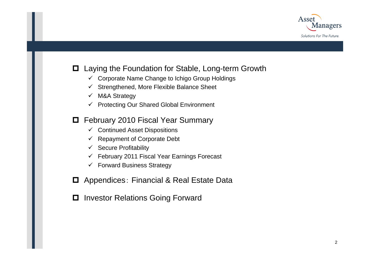

### **□** Laying the Foundation for Stable, Long-term Growth

- $\checkmark$  Corporate Name Change to Ichigo Group Holdings
- $\checkmark$ Strengthened, More Flexible Balance Sheet
- $\checkmark$ M&A Strategy
- 9 Protecting Our Shared Global Environment

### **□** February 2010 Fiscal Year Summary

- $\checkmark$  Continued Asset Dispositions
- $\checkmark$ Repayment of Corporate Debt
- $\checkmark$  Secure Profitability
- $\checkmark$  February 2011 Fiscal Year Earnings Forecast
- $\checkmark$  Forward Business Strategy
- **□** Appendices: Financial & Real Estate Data
- **□** Investor Relations Going Forward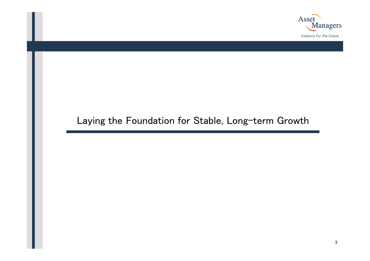

### Laying the Foundation for Stable, Long-term Growth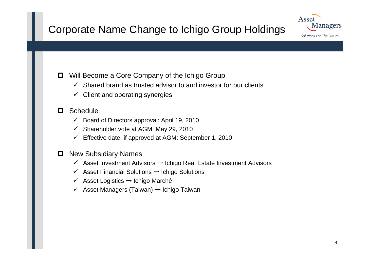## Corporate Name Change to Ichigo Group Holdings



**□** Will Become a Core Company of the Ichigo Group

- $\checkmark$  Shared brand as trusted advisor to and investor for our clients
- $\checkmark$  Client and operating synergies

#### О. **Schedule**

- $\checkmark$  Board of Directors approval: April 19, 2010
- $\checkmark$  Shareholder vote at AGM: May 29, 2010
- $\checkmark$  Effective date, if approved at AGM: September 1, 2010

### **D** New Subsidiary Names

- 9 Asset Investment Advisors → Ichigo Real Estate Investment Advisors
- $\checkmark$  Asset Financial Solutions  $\to$  Ichigo Solutions
- 9 Asset Logistics → Ichigo Marché
- 9 Asset Managers (Taiwan) → Ichigo Taiwan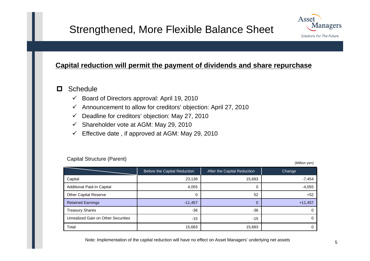### Strengthened, More Flexible Balance Sheet



### **Capital reduction will permit the payment of dividends and share repurchase**

#### О **Schedule**

- $\checkmark$  Board of Directors approval: April 19, 2010
- $\checkmark$  Announcement to allow for creditors' objection: April 27, 2010
- $\checkmark$  Deadline for creditors' objection: May 27, 2010
- $\checkmark$ Shareholder vote at AGM: May 29, 2010
- $\checkmark$ Effective date , if approved at AGM: May 29, 2010

|                                     | Before the Capital Reduction | After the Capital Reduction | Change    |
|-------------------------------------|------------------------------|-----------------------------|-----------|
| Capital                             | 23,138                       | 15,683                      | $-7,454$  |
| Additional Paid-In Capital          | 4,055                        | 0                           | $-4,055$  |
| <b>Other Capital Reserve</b>        | 0                            | 52                          | $+52$     |
| <b>Retained Earnings</b>            | $-11,457$                    | 0                           | $+11,457$ |
| <b>Treasury Shares</b>              | $-36$                        | $-36$                       |           |
| Unrealized Gain on Other Securities | $-15$                        | $-15$                       |           |
| Total                               | 15,683                       | 15,683                      |           |

Capital Structure (Parent)

(Million yen)

Note: Implementation of the capital reduction will have no effect on Asset Managers' underlying net assets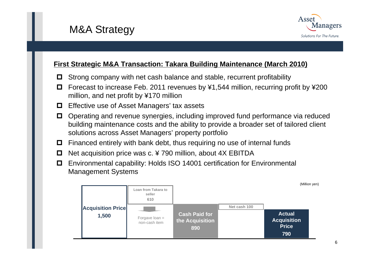## M&A Strategy



### **First Strategic M&A Transaction: Takara Building Maintenance (March 2010)**

- 0 Strong company with net cash balance and stable, recurrent profitability
- Forecast to increase Feb. 2011 revenues by ¥1,544 million, recurring profit by ¥200 million, and net profit by ¥170 million
- **□** Effective use of Asset Managers' tax assets
- . Operating and revenue synergies, including improved fund performance via reduced building maintenance costs and the ability to provide a broader set of tailored client solutions across Asset Managers' property portfolio
- **□** Financed entirely with bank debt, thus requiring no use of internal funds
- $\Box$ Net acquisition price was c. ¥ 790 million, about 4X EBITDA
- Environmental capability: Holds ISO 14001 certification for Environmental Management Systems

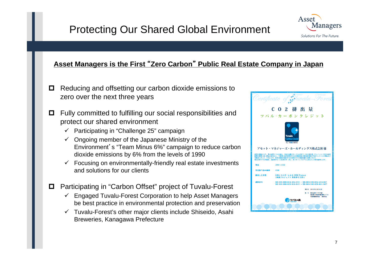## Protecting Our Shared Global Environment



#### **Asset Managers is the First**  "**Zero Carbon** "**Public Real Estate Company in Japan**

- 0 Reducing and offsetting our carbon dioxide emissions to zero over the next three years
- 0 Fully committed to fulfilling our social responsibilities and protect our shared environment
	- $\checkmark$  Participating in "Challenge 25" campaign
	- $\checkmark$  Ongoing member of the Japanese Ministry of the Environment's "Team Minus 6%" campaign to reduce carbon dioxide emissions by 6% from the levels of 1990
	- $\checkmark$  Focusing on environmentally-friendly real estate investments and solutions for our clients
- 0 Participating in "Carbon Offset" project of Tuvalu-Forest
	- $\checkmark$  Engaged Tuvalu-Forest Corporation to help Asset Managers be best practice in environmental protection and preservation
	- $\checkmark$  Tuvalu-Forest's other major clients include Shiseido, Asahi Breweries, Kanagawa Prefecture

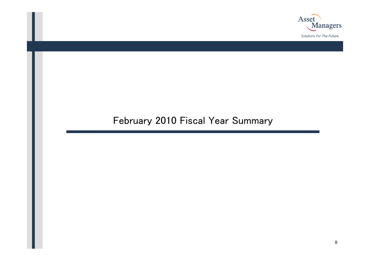

### February 2010 Fiscal Year Summary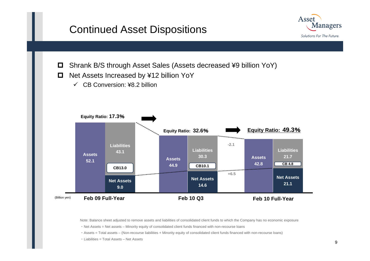### Continued Asset Dispositions



- $\Box$ Shrank B/S through Asset Sales (Assets decreased ¥9 billion YoY)
- $\Box$  Net Assets Increased by ¥12 billion YoY
	- $\checkmark$  CB Conversion: ¥8.2 billion



Note: Balance sheet adjusted to remove assets and liabilities of consolidated client funds to which the Company has no economic exposure

・ Net Assets = Net assets – Minority equity of consolidated client funds financed with non-recourse loans

・ Assets = Total assets – (Non-recourse liabilities + Minority equity of consolidated client funds financed with non-recourse loans)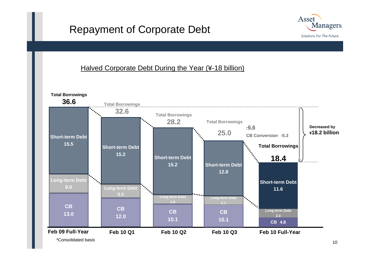### Repayment of Corporate Debt



### Halved Corporate Debt During the Year (¥-18 billion)



\*Consolidated basis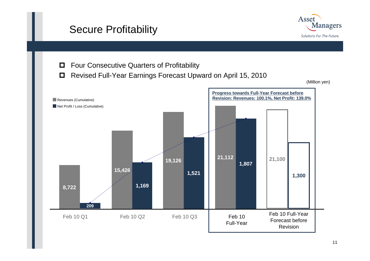## Secure Profitability



 $\Box$ Four Consecutive Quarters of Profitability

 $\Box$ Revised Full-Year Earnings Forecast Upward on April 15, 2010

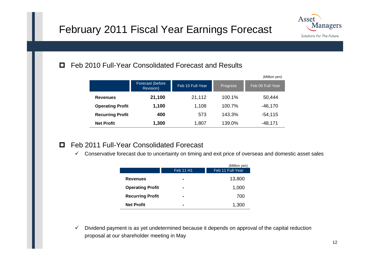## February 2011 Fiscal Year Earnings Forecast



#### 0 Feb 2010 Full-Year Consolidated Forecast and Results

|                         |                               |                  |          | (Million yen)    |
|-------------------------|-------------------------------|------------------|----------|------------------|
|                         | Forecast (before<br>Revision) | Feb 10 Full-Year | Progress | Feb 09 Full-Year |
| <b>Revenues</b>         | 21,100                        | 21,112           | 100.1%   | 50,444           |
| <b>Operating Profit</b> | 1,100                         | 1,108            | 100.7%   | $-46,170$        |
| <b>Recurring Profit</b> | 400                           | 573              | 143.3%   | $-54, 115$       |
| <b>Net Profit</b>       | 1,300                         | 1,807            | 139.0%   | $-48,171$        |

### Feb 2011 Full-Year Consolidated Forecast

 $\checkmark$  Conservative forecast due to uncertainty on timing and exit price of overseas and domestic asset sales

|                         |                | (Million yen)    |
|-------------------------|----------------|------------------|
|                         | Feb 11 H1      | Feb 11 Full-Year |
| <b>Revenues</b>         | $\blacksquare$ | 13,800           |
| <b>Operating Profit</b> | $\blacksquare$ | 1,000            |
| <b>Recurring Profit</b> | $\blacksquare$ | 700              |
| <b>Net Profit</b>       | -              | 1,300            |

 $\checkmark$  Dividend payment is as yet undetermined because it depends on approval of the capital reduction proposal at our shareholder meeting in May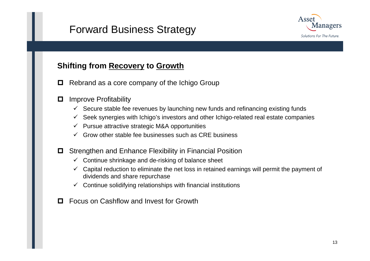## Forward Business Strategy



### **Shifting from Recovery to Growth**

- 0 Rebrand as a core company of the Ichigo Group
- 0 Improve Profitability
	- $\checkmark$  Secure stable fee revenues by launching new funds and refinancing existing funds
	- $\checkmark$  Seek synergies with Ichigo's investors and other Ichigo-related real estate companies
	- $\checkmark$  Pursue attractive strategic M&A opportunities
	- $\checkmark$  Grow other stable fee businesses such as CRE business
- **□** Strengthen and Enhance Flexibility in Financial Position
	- $\checkmark$  Continue shrinkage and de-risking of balance sheet
	- $\checkmark$  Capital reduction to eliminate the net loss in retained earnings will permit the payment of dividends and share repurchase
	- $\checkmark$  Continue solidifying relationships with financial institutions
- $\Box$ Focus on Cashflow and Invest for Growth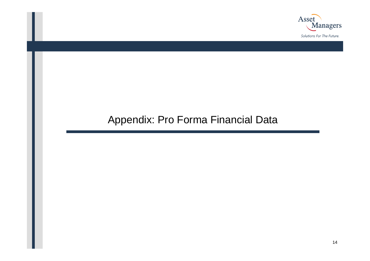

## Appendix: Pro Forma Financial Data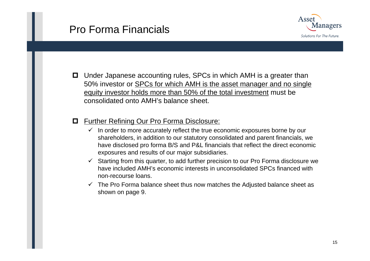### Pro Forma Financials



**□** Under Japanese accounting rules, SPCs in which AMH is a greater than 50% investor or SPCs for which AMH is the asset manager and no single equity investor holds more than 50% of the total investment must be consolidated onto AMH's balance sheet.

#### 0 Further Refining Our Pro Forma Disclosure:

- $\checkmark$  In order to more accurately reflect the true economic exposures borne by our shareholders, in addition to our statutory consolidated and parent financials, we have disclosed pro forma B/S and P&L financials that reflect the direct economic exposures and results of our major subsidiaries.
- $\checkmark$  Starting from this quarter, to add further precision to our Pro Forma disclosure we have included AMH's economic interests in unconsolidated SPCs financed with non-recourse loans.
- $\checkmark$  The Pro Forma balance sheet thus now matches the Adjusted balance sheet as shown on page 9.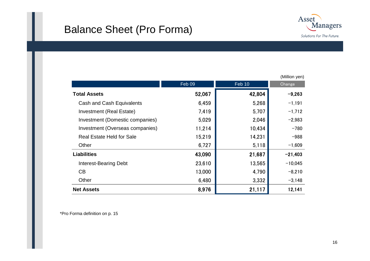## Balance Sheet (Pro Forma)



|                                  |        |        | (Million yen) |
|----------------------------------|--------|--------|---------------|
|                                  | Feb 09 | Feb 10 | Change        |
| <b>Total Assets</b>              | 52,067 | 42,804 | $-9,263$      |
| Cash and Cash Equivalents        | 6,459  | 5,268  | $-1,191$      |
| <b>Investment (Real Estate)</b>  | 7,419  | 5,707  | $-1,712$      |
| Investment (Domestic companies)  | 5,029  | 2,046  | $-2,983$      |
| Investment (Overseas companies)  | 11,214 | 10,434 | $-780$        |
| <b>Real Estate Held for Sale</b> | 15,219 | 14,231 | $-988$        |
| Other                            | 6,727  | 5,118  | $-1,609$      |
| <b>Liabilities</b>               | 43,090 | 21,687 | $-21,403$     |
| <b>Interest-Bearing Debt</b>     | 23,610 | 13,565 | $-10,045$     |
| CB                               | 13,000 | 4,790  | $-8,210$      |
| Other                            | 6,480  | 3,332  | $-3,148$      |
| <b>Net Assets</b>                | 8,976  | 21,117 | 12,141        |

\*Pro Forma definition on p. 15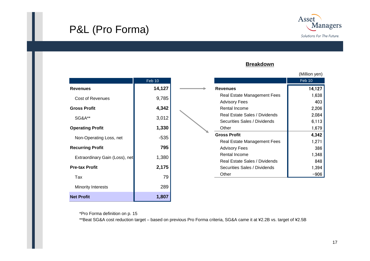## P&L (Pro Forma)



#### **Breakdown**

|                                | Feb 10 |  |
|--------------------------------|--------|--|
| <b>Revenues</b>                | 14,127 |  |
| <b>Cost of Revenues</b>        | 9,785  |  |
| <b>Gross Profit</b>            | 4,342  |  |
| <b>SG&amp;A**</b>              | 3,012  |  |
| <b>Operating Profit</b>        | 1,330  |  |
| Non-Operating Loss, net        | $-535$ |  |
| <b>Recurring Profit</b>        | 795    |  |
| Extraordinary Gain (Loss), net | 1,380  |  |
| <b>Pre-tax Profit</b>          | 2,175  |  |
| Tax                            | 79     |  |
| <b>Minority Interests</b>      | 289    |  |
| <b>Net Profit</b>              | 1,807  |  |

|                               | (Million yen) |
|-------------------------------|---------------|
|                               | Feb 10        |
| <b>Revenues</b>               | 14,127        |
| Real Estate Management Fees   | 1,638         |
| <b>Advisory Fees</b>          | 403           |
| Rental Income                 | 2,206         |
| Real Estate Sales / Dividends | 2,084         |
| Securities Sales / Dividends  | 6,113         |
| Other                         | 1,679         |
| <b>Gross Profit</b>           | 4,342         |
| Real Estate Management Fees   | 1,271         |
| <b>Advisory Fees</b>          | 386           |
| Rental Income                 | 1,348         |
| Real Estate Sales / Dividends | 848           |
| Securities Sales / Dividends  | 1,394         |
| Other                         | -906          |

\*Pro Forma definition on p. 15

\*\*Beat SG&A cost reduction target – based on previous Pro Forma criteria, SG&A came it at ¥2.2B vs. target of ¥2.5B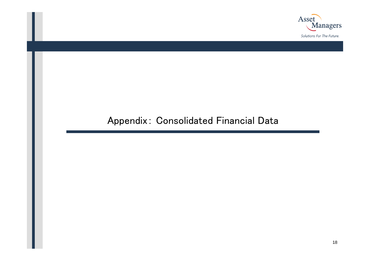

### Appendix: Consolidated Financial Data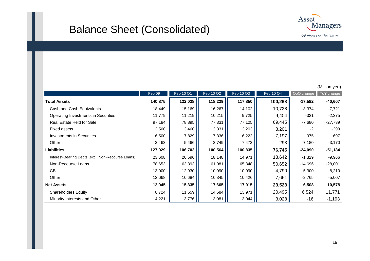## Balance Sheet (Consolidated)



|                                                   |         |           |           |           |           |            | (Million yen) |
|---------------------------------------------------|---------|-----------|-----------|-----------|-----------|------------|---------------|
|                                                   | Feb 09  | Feb 10 Q1 | Feb 10 Q2 | Feb 10 Q3 | Feb 10 Q4 | QoQ change | YoY change    |
| <b>Total Assets</b>                               | 140,875 | 122,038   | 118,229   | 117,850   | 100,268   | $-17,582$  | $-40,607$     |
| Cash and Cash Equivalents                         | 18,449  | 15,169    | 16,267    | 14,102    | 10,728    | $-3,374$   | $-7,721$      |
| Operating Investments in Securities               | 11,779  | 11,219    | 10,215    | 9,725     | 9,404     | $-321$     | $-2,375$      |
| Real Estate Held for Sale                         | 97,184  | 78,895    | 77,331    | 77,125    | 69,445    | $-7,680$   | $-27,739$     |
| <b>Fixed assets</b>                               | 3,500   | 3,460     | 3,331     | 3,203     | 3,201     | $-2$       | -299          |
| <b>Investments in Securities</b>                  | 6,500   | 7,829     | 7,336     | 6,222     | 7,197     | 975        | 697           |
| Other                                             | 3,463   | 5,466     | 3,749     | 7,473     | 293       | $-7,180$   | $-3,170$      |
| <b>Liabilities</b>                                | 127,929 | 106,703   | 100,564   | 100,835   | 76,745    | $-24,090$  | $-51,184$     |
| Interest-Bearing Debts (excl. Non-Recourse Loans) | 23,608  | 20,596    | 18,148    | 14,971    | 13,642    | $-1,329$   | $-9,966$      |
| Non-Recourse Loans                                | 78,653  | 63,393    | 61,981    | 65,348    | 50,652    | $-14,696$  | $-28,001$     |
| CB                                                | 13,000  | 12,030    | 10,090    | 10,090    | 4,790     | $-5,300$   | $-8,210$      |
| Other                                             | 12,668  | 10,684    | 10,345    | 10,426    | 7,661     | $-2,765$   | $-5,007$      |
| <b>Net Assets</b>                                 | 12,945  | 15,335    | 17,665    | 17,015    | 23,523    | 6,508      | 10,578        |
| <b>Shareholders Equity</b>                        | 8,724   | 11,559    | 14,584    | 13,971    | 20,495    | 6,524      | 11,771        |
| Minority Interests and Other                      | 4,221   | 3,776     | 3,081     | 3,044     | 3,028     | -16        | $-1,193$      |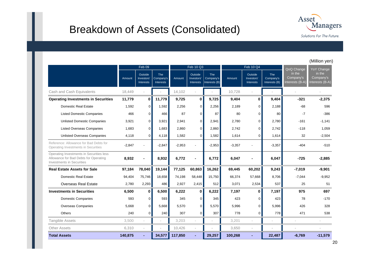### Breakdown of Assets (Consolidated)



(Million yen)

|                                                                                                                | Feb 09   |                                    |                                             | Feb 10 Q3 |                                    |                                          |          | Feb 10 Q4                                 |                                   | YoY Change                                           |                                        |
|----------------------------------------------------------------------------------------------------------------|----------|------------------------------------|---------------------------------------------|-----------|------------------------------------|------------------------------------------|----------|-------------------------------------------|-----------------------------------|------------------------------------------------------|----------------------------------------|
|                                                                                                                | Amount   | Outside<br>Investors'<br>Interests | <b>The</b><br>Company's<br><b>Interests</b> | Amount    | Outside<br>Investors'<br>Interests | <b>The</b><br>Company's<br>Interests (B) | Amount   | Outside<br>Investors'<br><b>Interests</b> | The<br>Company's<br>Interests (B) | QoQ Change<br>in the<br>Company's<br>Interests (B-A) | in the<br>Company's<br>Interests (B-A) |
| Cash and Cash Equivalents                                                                                      | 18,449   |                                    |                                             | 14,102    |                                    |                                          | 10,728   |                                           |                                   |                                                      |                                        |
| <b>Operating Investments in Securities</b>                                                                     | 11,779   | 0                                  | 11,779                                      | 9,725     | $\mathbf{0}$                       | 9,725                                    | 9,404    | $\mathbf 0$                               | 9,404                             | $-321$                                               | $-2,375$                               |
| <b>Domestic Real Estate</b>                                                                                    | 1,592    | $\overline{0}$                     | 1,592                                       | 2,256     | $\overline{0}$                     | 2,256                                    | 2,189    | $\mathbf 0$                               | 2,188                             | $-68$                                                | 596                                    |
| <b>Listed Domestic Companies</b>                                                                               | 466      | $\Omega$                           | 466                                         | 87        | $\Omega$                           | 87                                       | 80       | $\Omega$                                  | 80                                | $-7$                                                 | $-386$                                 |
| <b>Unlisted Domestic Companies</b>                                                                             | 3,921    | 0                                  | 3,921                                       | 2,941     | 0                                  | 2,941                                    | 2,780    | $\mathbf 0$                               | 2.780                             | $-161$                                               | $-1.141$                               |
| <b>Listed Overseas Companies</b>                                                                               | 1,683    | 0                                  | 1,683                                       | 2,860     | 0                                  | 2,860                                    | 2,742    | $\Omega$                                  | 2,742                             | $-118$                                               | 1,059                                  |
| <b>Unlisted Overseas Companies</b>                                                                             | 4.118    | $\Omega$                           | 4.118                                       | 1,582     | $\Omega$                           | 1,582                                    | 1,614    | $\Omega$                                  | 1,614                             | 32                                                   | $-2,504$                               |
| Reference: Allowance for Bad Debts for<br>Operating Investments in Securities                                  | $-2,847$ |                                    | $-2.847$                                    | $-2,953$  |                                    | $-2.953$                                 | $-3,357$ |                                           | $-3,357$                          | $-404$                                               | $-510$                                 |
| Operating Investments in Securities less<br>Allowance for Bad Debts for Operating<br>Investments in Securities | 8,932    |                                    | 8,932                                       | 6,772     |                                    | 6,772                                    | 6,047    |                                           | 6,047                             | $-725$                                               | $-2,885$                               |
| <b>Real Estate Assets for Sale</b>                                                                             | 97,184   | 78,040                             | 19,144                                      | 77,125    | 60,863                             | 16,262                                   | 69,445   | 60,202                                    | 9,243                             | $-7,019$                                             | $-9,901$                               |
| <b>Domestic Real Estate</b>                                                                                    | 94,404   | 75,746                             | 18,658                                      | 74,198    | 58,448                             | 15,750                                   | 66,374   | 57,668                                    | 8,706                             | $-7,044$                                             | $-9,952$                               |
| <b>Overseas Real Estate</b>                                                                                    | 2,780    | 2,293                              | 486                                         | 2,927     | 2,415                              | 512                                      | 3,071    | 2,534                                     | 537                               | 25                                                   | 51                                     |
| <b>Investments in Securities</b>                                                                               | 6,500    | $\mathbf{0}$                       | 6,500                                       | 6,222     | 0                                  | 6,222                                    | 7,197    | 0                                         | 7,197                             | 975                                                  | 697                                    |
| <b>Domestic Companies</b>                                                                                      | 593      | $\mathbf{0}$                       | 593                                         | 345       | 0                                  | 345                                      | 423      | $\Omega$                                  | 423                               | 78                                                   | $-170$                                 |
| <b>Overseas Companies</b>                                                                                      | 5.668    | 0                                  | 5.668                                       | 5,570     | 0                                  | 5,570                                    | 5,996    | $\Omega$                                  | 5,996                             | 426                                                  | 328                                    |
| Others                                                                                                         | 240      | $\Omega$                           | 240                                         | 307       | $\overline{0}$                     | 307                                      | 778      | $\Omega$                                  | 778                               | 471                                                  | 538                                    |
| <b>Tangible Assets</b>                                                                                         | 3,500    |                                    |                                             | 3,203     |                                    |                                          | 3,201    |                                           |                                   |                                                      |                                        |
| <b>Other Assets</b>                                                                                            | 6,310    | $\overline{\phantom{a}}$           |                                             | 10.426    |                                    |                                          | 3,650    | $\overline{\phantom{a}}$                  |                                   |                                                      |                                        |
| <b>Total Assets</b>                                                                                            | 140,875  |                                    | 34,577                                      | 117,850   |                                    | 29,257                                   | 100,268  |                                           | 22,487                            | $-6,769$                                             | $-11,579$                              |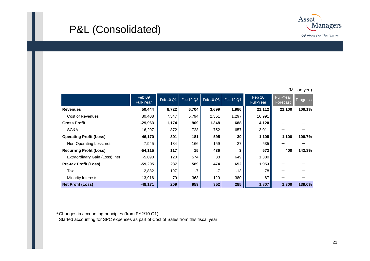## P&L (Consolidated)



|                                | Feb 09<br><b>Full-Year</b> | Feb 10 Q1 | <b>Feb 10 Q2</b> | Feb 10 Q3 | Feb 10 Q4 | Feb 10<br><b>Full-Year</b> | Full-Year<br>Forecast | Progress |
|--------------------------------|----------------------------|-----------|------------------|-----------|-----------|----------------------------|-----------------------|----------|
| <b>Revenues</b>                | 50,444                     | 8,722     | 6,704            | 3,699     | 1,986     | 21,112                     | 21,100                | 100.1%   |
| Cost of Revenues               | 80,408                     | 7,547     | 5,794            | 2,351     | 1,297     | 16,991                     |                       |          |
| <b>Gross Profit</b>            | $-29,963$                  | 1,174     | 909              | 1,348     | 688       | 4,120                      |                       |          |
| SG&A                           | 16,207                     | 872       | 728              | 752       | 657       | 3,011                      |                       |          |
| <b>Operating Profit (Loss)</b> | $-46,170$                  | 301       | 181              | 595       | 30        | 1,108                      | 1,100                 | 100.7%   |
| Non-Operating Loss, net        | $-7,945$                   | $-184$    | $-166$           | $-159$    | $-27$     | $-535$                     |                       |          |
| <b>Recurring Profit (Loss)</b> | $-54,115$                  | 117       | 15               | 436       | 3         | 573                        | 400                   | 143.3%   |
| Extraordinary Gain (Loss), net | $-5,090$                   | 120       | 574              | 38        | 649       | 1,380                      |                       |          |
| <b>Pre-tax Profit (Loss)</b>   | $-59,205$                  | 237       | 589              | 474       | 652       | 1,953                      |                       |          |
| Tax                            | 2,882                      | 107       | $-7$             | $-7$      | $-13$     | 78                         |                       |          |
| Minority Interests             | $-13,916$                  | $-79$     | $-363$           | 129       | 380       | 67                         |                       |          |
| <b>Net Profit (Loss)</b>       | $-48,171$                  | 209       | 959              | 352       | 285       | 1,807                      | 1,300                 | 139.0%   |

\*Changes in accounting principles (from FY2/10 Q1):

Started accounting for SPC expenses as part of Cost of Sales from this fiscal year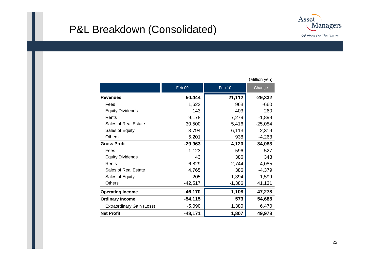### P&L Breakdown (Consolidated)



|                           |           |          | (Million yen) |
|---------------------------|-----------|----------|---------------|
|                           | Feb 09    | Feb 10   | Change        |
| <b>Revenues</b>           | 50,444    | 21,112   | -29,332       |
| Fees                      | 1,623     | 963      | $-660$        |
| <b>Equity Dividends</b>   | 143       | 403      | 260           |
| Rents                     | 9,178     | 7,279    | $-1,899$      |
| Sales of Real Estate      | 30,500    | 5,416    | $-25,084$     |
| Sales of Equity           | 3,794     | 6,113    | 2,319         |
| <b>Others</b>             | 5,201     | 938      | $-4,263$      |
| <b>Gross Profit</b>       | $-29,963$ | 4,120    | 34,083        |
| Fees                      | 1,123     | 596      | $-527$        |
| <b>Equity Dividends</b>   | 43        | 386      | 343           |
| Rents                     | 6,829     | 2,744    | $-4,085$      |
| Sales of Real Estate      | 4,765     | 386      | $-4,379$      |
| Sales of Equity           | $-205$    | 1,394    | 1,599         |
| <b>Others</b>             | $-42,517$ | $-1,386$ | 41,131        |
| <b>Operating Income</b>   | $-46,170$ | 1,108    | 47,278        |
| <b>Ordinary Income</b>    | $-54,115$ | 573      | 54,688        |
| Extraordinary Gain (Loss) | $-5,090$  | 1,380    | 6,470         |
| <b>Net Profit</b>         | $-48,171$ | 1,807    | 49,978        |

(Million yen)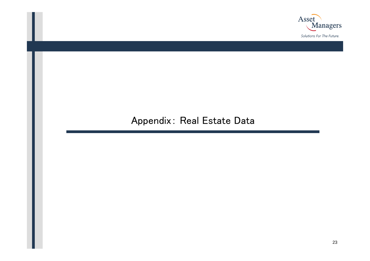

### Appendix: Real Estate Data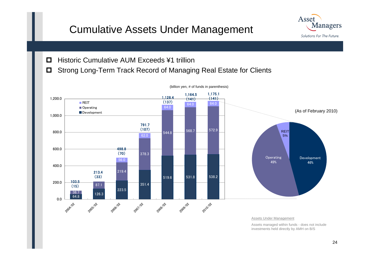## Cumulative Assets Under Management



- $\Box$ Historic Cumulative AUM Exceeds ¥1 trillion
- $\Box$ Strong Long-Term Track Record of Managing Real Estate for Clients



(billion yen, # of funds in parenthesis)

Assets Under Management

Assets managed within funds - does not include investments held directly by AMH on B/S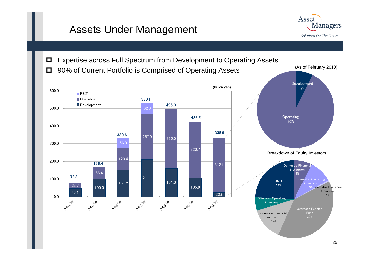### Assets Under Management



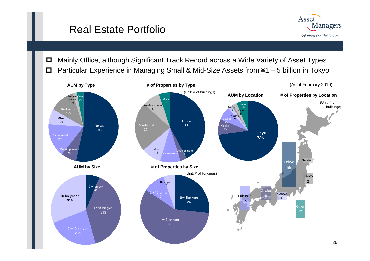### Real Estate Portfolio



 $\Box$  Mainly Office, although Significant Track Record across a Wide Variety of Asset Types  $\Box$ Particular Experience in Managing Small & Mid-Size Assets from ¥1 – 5 billion in Tokyo

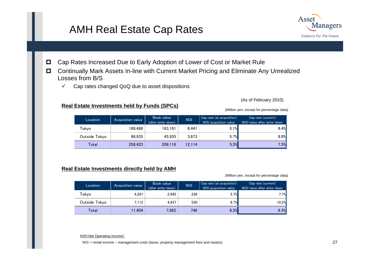### AMH Real Estate Cap Rates



- $\Box$ Cap Rates Increased Due to Early Adoption of Lower of Cost or Market Rule
- $\Box$  Continually Mark Assets In-line with Current Market Pricing and Eliminate Any Unrealized Losses from B/S
	- $\checkmark$ Cap rates changed QoQ due to asset dispositions

#### **Real Estate Investments held by Funds (SPCs)**

(As of February 2010)

(Million yen, except for percentage data)

| Location      | Acquisition value | Book value<br>(after write-down) | <b>NOI</b> | Cap rate (at acquisition)<br>NOI/acquisition value | Cap rate (current)<br>NOI/value after write-down |
|---------------|-------------------|----------------------------------|------------|----------------------------------------------------|--------------------------------------------------|
| Tokyo         | 189.488           | 163.181                          | 8.441      | 5.1%                                               | 6.4%                                             |
| Outside Tokyo | 66.935            | 45.935                           | 3.673      | 5.7%                                               | 8.8%                                             |
| Total         | 256,423           | 209,116                          | 12.114     | 5.3%                                               | 7.5%                                             |

#### **Real Estate Investments directly held by AMH**

(Million yen, except for percentage data)

| Location      | Acquisition value | Book value<br>(after write-down) | <b>NOI</b> | Cap rate (at acquisition)<br>NOI/acquisition value | Cap rate (current)<br>NOI/value after write-down |
|---------------|-------------------|----------------------------------|------------|----------------------------------------------------|--------------------------------------------------|
| Tokvo         | 4.291             | 2.945                            | 226        | 5.7%                                               | 7.7%                                             |
| Outside Tokyo | 7.112             | 4.937                            | 520        | 6.7%                                               | 10.2%                                            |
| Total         | 11.404            | 7.882                            | 746        | 6.3%                                               | 9.3%                                             |

NOI(Net Operating Income)

NOI = rental income – management costs (taxes, property management fees and repairs)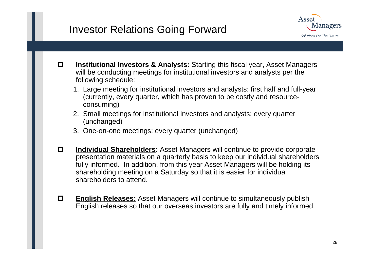### Investor Relations Going Forward



- О. **Institutional Investors & Analysts:** Starting this fiscal year, Asset Managers will be conducting meetings for institutional investors and analysts per the following schedule:
	- 1. Large meeting for institutional investors and analysts: first half and full-year (currently, every quarter, which has proven to be costly and resourceconsuming)
	- 2. Small meetings for institutional investors and analysts: every quarter (unchanged)
	- 3. One-on-one meetings: every quarter (unchanged)
- О. **Individual Shareholders:** Asset Managers will continue to provide corporate presentation materials on a quarterly basis to keep our individual shareholders fully informed. In addition, from this year Asset Managers will be holding its shareholding meeting on a Saturday so that it is easier for individual shareholders to attend.
- $\Box$  **English Releases:** Asset Managers will continue to simultaneously publish English releases so that our overseas investors are fully and timely informed.